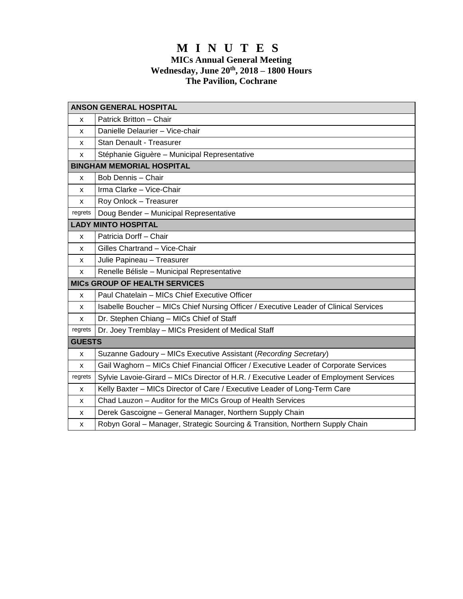# **M I N U T E S**

## **MICs Annual General Meeting Wednesday, June 20 th, 2018 – 1800 Hours The Pavilion, Cochrane**

| <b>ANSON GENERAL HOSPITAL</b>        |                                                                                        |
|--------------------------------------|----------------------------------------------------------------------------------------|
| x                                    | Patrick Britton - Chair                                                                |
| x                                    | Danielle Delaurier - Vice-chair                                                        |
| x                                    | Stan Denault - Treasurer                                                               |
| x                                    | Stéphanie Giguère - Municipal Representative                                           |
| <b>BINGHAM MEMORIAL HOSPITAL</b>     |                                                                                        |
| x                                    | Bob Dennis - Chair                                                                     |
| X                                    | Irma Clarke - Vice-Chair                                                               |
| x                                    | Roy Onlock - Treasurer                                                                 |
| regrets                              | Doug Bender - Municipal Representative                                                 |
| <b>LADY MINTO HOSPITAL</b>           |                                                                                        |
| x                                    | Patricia Dorff - Chair                                                                 |
| X                                    | Gilles Chartrand - Vice-Chair                                                          |
| X                                    | Julie Papineau - Treasurer                                                             |
| x                                    | Renelle Bélisle - Municipal Representative                                             |
| <b>MICS GROUP OF HEALTH SERVICES</b> |                                                                                        |
| x                                    | Paul Chatelain - MICs Chief Executive Officer                                          |
| x                                    | Isabelle Boucher - MICs Chief Nursing Officer / Executive Leader of Clinical Services  |
| X                                    | Dr. Stephen Chiang - MICs Chief of Staff                                               |
| regrets                              | Dr. Joey Tremblay - MICs President of Medical Staff                                    |
| <b>GUESTS</b>                        |                                                                                        |
| X                                    | Suzanne Gadoury - MICs Executive Assistant (Recording Secretary)                       |
| X                                    | Gail Waghorn - MICs Chief Financial Officer / Executive Leader of Corporate Services   |
| regrets                              | Sylvie Lavoie-Girard - MICs Director of H.R. / Executive Leader of Employment Services |
| X                                    | Kelly Baxter - MICs Director of Care / Executive Leader of Long-Term Care              |
| x                                    | Chad Lauzon - Auditor for the MICs Group of Health Services                            |
| x                                    | Derek Gascoigne - General Manager, Northern Supply Chain                               |
| x                                    | Robyn Goral - Manager, Strategic Sourcing & Transition, Northern Supply Chain          |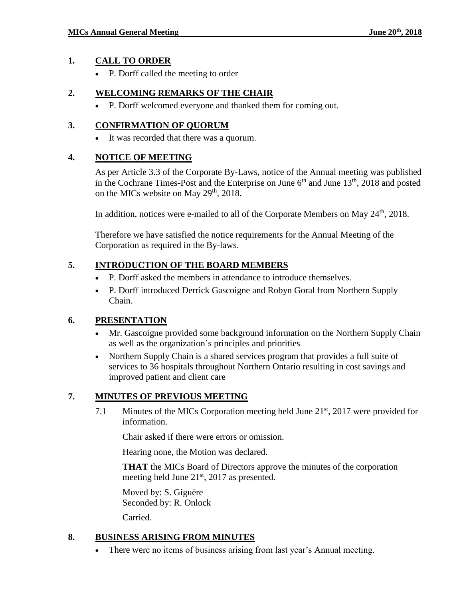# **1. CALL TO ORDER**

• P. Dorff called the meeting to order

## **2. WELCOMING REMARKS OF THE CHAIR**

P. Dorff welcomed everyone and thanked them for coming out.

## **3. CONFIRMATION OF QUORUM**

It was recorded that there was a quorum.

# **4. NOTICE OF MEETING**

As per Article 3.3 of the Corporate By-Laws, notice of the Annual meeting was published in the Cochrane Times-Post and the Enterprise on June  $6<sup>th</sup>$  and June  $13<sup>th</sup>$ , 2018 and posted on the MICs website on May 29<sup>th</sup>, 2018.

In addition, notices were e-mailed to all of the Corporate Members on May 24<sup>th</sup>, 2018.

Therefore we have satisfied the notice requirements for the Annual Meeting of the Corporation as required in the By-laws.

#### **5. INTRODUCTION OF THE BOARD MEMBERS**

- P. Dorff asked the members in attendance to introduce themselves.
- P. Dorff introduced Derrick Gascoigne and Robyn Goral from Northern Supply Chain.

# **6. PRESENTATION**

- Mr. Gascoigne provided some background information on the Northern Supply Chain as well as the organization's principles and priorities
- Northern Supply Chain is a shared services program that provides a full suite of services to 36 hospitals throughout Northern Ontario resulting in cost savings and improved patient and client care

# **7. MINUTES OF PREVIOUS MEETING**

7.1 Minutes of the MICs Corporation meeting held June 21<sup>st</sup>, 2017 were provided for information.

Chair asked if there were errors or omission.

Hearing none, the Motion was declared.

**THAT** the MICs Board of Directors approve the minutes of the corporation meeting held June 21<sup>st</sup>, 2017 as presented.

Moved by: S. Giguère Seconded by: R. Onlock

Carried.

# **8. BUSINESS ARISING FROM MINUTES**

• There were no items of business arising from last year's Annual meeting.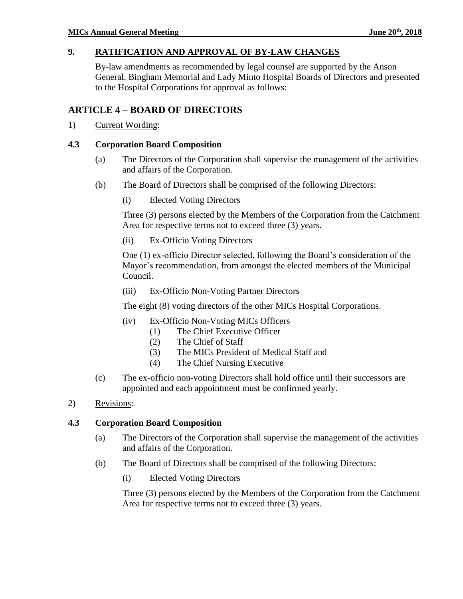# **9. RATIFICATION AND APPROVAL OF BY-LAW CHANGES**

By-law amendments as recommended by legal counsel are supported by the Anson General, Bingham Memorial and Lady Minto Hospital Boards of Directors and presented to the Hospital Corporations for approval as follows:

# **ARTICLE 4 – BOARD OF DIRECTORS**

1) Current Wording:

#### **4.3 Corporation Board Composition**

- (a) The Directors of the Corporation shall supervise the management of the activities and affairs of the Corporation.
- (b) The Board of Directors shall be comprised of the following Directors:
	- (i) Elected Voting Directors

Three (3) persons elected by the Members of the Corporation from the Catchment Area for respective terms not to exceed three (3) years.

(ii) Ex-Officio Voting Directors

One (1) ex-officio Director selected, following the Board's consideration of the Mayor's recommendation, from amongst the elected members of the Municipal Council.

(iii) Ex-Officio Non-Voting Partner Directors

The eight (8) voting directors of the other MICs Hospital Corporations.

- (iv) Ex-Officio Non-Voting MICs Officers
	- (1) The Chief Executive Officer
	- (2) The Chief of Staff
	- (3) The MICs President of Medical Staff and
	- (4) The Chief Nursing Executive
- (c) The ex-officio non-voting Directors shall hold office until their successors are appointed and each appointment must be confirmed yearly.
- 2) Revisions:

#### **4.3 Corporation Board Composition**

- (a) The Directors of the Corporation shall supervise the management of the activities and affairs of the Corporation.
- (b) The Board of Directors shall be comprised of the following Directors:
	- (i) Elected Voting Directors

Three (3) persons elected by the Members of the Corporation from the Catchment Area for respective terms not to exceed three (3) years.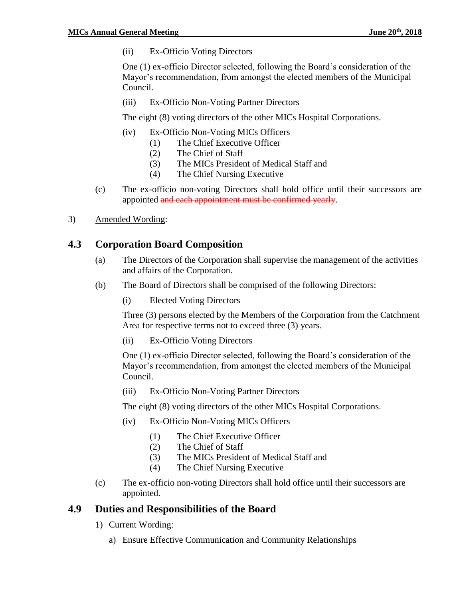(ii) Ex-Officio Voting Directors

One (1) ex-officio Director selected, following the Board's consideration of the Mayor's recommendation, from amongst the elected members of the Municipal Council.

(iii) Ex-Officio Non-Voting Partner Directors

The eight (8) voting directors of the other MICs Hospital Corporations.

- (iv) Ex-Officio Non-Voting MICs Officers
	- (1) The Chief Executive Officer
	- (2) The Chief of Staff
	- (3) The MICs President of Medical Staff and
	- (4) The Chief Nursing Executive
- (c) The ex-officio non-voting Directors shall hold office until their successors are appointed and each appointment must be confirmed yearly.
- 3) Amended Wording:

# **4.3 Corporation Board Composition**

- (a) The Directors of the Corporation shall supervise the management of the activities and affairs of the Corporation.
- (b) The Board of Directors shall be comprised of the following Directors:
	- (i) Elected Voting Directors

Three (3) persons elected by the Members of the Corporation from the Catchment Area for respective terms not to exceed three (3) years.

(ii) Ex-Officio Voting Directors

One (1) ex-officio Director selected, following the Board's consideration of the Mayor's recommendation, from amongst the elected members of the Municipal Council.

(iii) Ex-Officio Non-Voting Partner Directors

The eight (8) voting directors of the other MICs Hospital Corporations.

- (iv) Ex-Officio Non-Voting MICs Officers
	- (1) The Chief Executive Officer
	- (2) The Chief of Staff
	- (3) The MICs President of Medical Staff and
	- (4) The Chief Nursing Executive
- (c) The ex-officio non-voting Directors shall hold office until their successors are appointed.

# **4.9 Duties and Responsibilities of the Board**

- 1) Current Wording:
	- a) Ensure Effective Communication and Community Relationships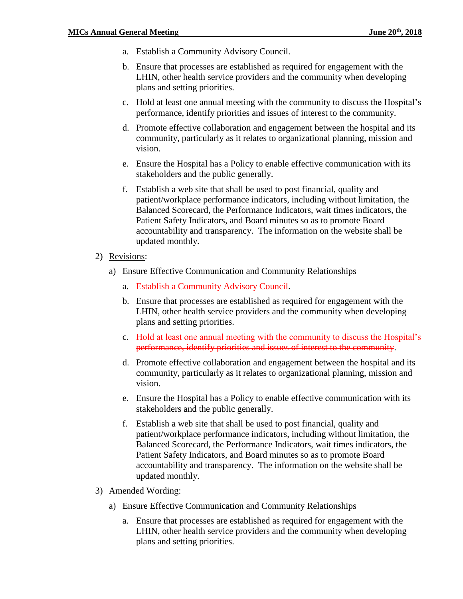- a. Establish a Community Advisory Council.
- b. Ensure that processes are established as required for engagement with the LHIN, other health service providers and the community when developing plans and setting priorities.
- c. Hold at least one annual meeting with the community to discuss the Hospital's performance, identify priorities and issues of interest to the community.
- d. Promote effective collaboration and engagement between the hospital and its community, particularly as it relates to organizational planning, mission and vision.
- e. Ensure the Hospital has a Policy to enable effective communication with its stakeholders and the public generally.
- f. Establish a web site that shall be used to post financial, quality and patient/workplace performance indicators, including without limitation, the Balanced Scorecard, the Performance Indicators, wait times indicators, the Patient Safety Indicators, and Board minutes so as to promote Board accountability and transparency. The information on the website shall be updated monthly.
- 2) Revisions:
	- a) Ensure Effective Communication and Community Relationships
		- a. Establish a Community Advisory Council.
		- b. Ensure that processes are established as required for engagement with the LHIN, other health service providers and the community when developing plans and setting priorities.
		- c. Hold at least one annual meeting with the community to discuss the Hospital's performance, identify priorities and issues of interest to the community.
		- d. Promote effective collaboration and engagement between the hospital and its community, particularly as it relates to organizational planning, mission and vision.
		- e. Ensure the Hospital has a Policy to enable effective communication with its stakeholders and the public generally.
		- f. Establish a web site that shall be used to post financial, quality and patient/workplace performance indicators, including without limitation, the Balanced Scorecard, the Performance Indicators, wait times indicators, the Patient Safety Indicators, and Board minutes so as to promote Board accountability and transparency. The information on the website shall be updated monthly.
- 3) Amended Wording:
	- a) Ensure Effective Communication and Community Relationships
		- a. Ensure that processes are established as required for engagement with the LHIN, other health service providers and the community when developing plans and setting priorities.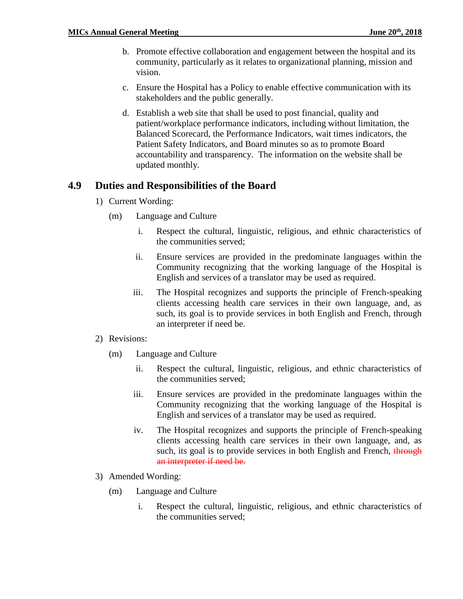- b. Promote effective collaboration and engagement between the hospital and its community, particularly as it relates to organizational planning, mission and vision.
- c. Ensure the Hospital has a Policy to enable effective communication with its stakeholders and the public generally.
- d. Establish a web site that shall be used to post financial, quality and patient/workplace performance indicators, including without limitation, the Balanced Scorecard, the Performance Indicators, wait times indicators, the Patient Safety Indicators, and Board minutes so as to promote Board accountability and transparency. The information on the website shall be updated monthly.

# **4.9 Duties and Responsibilities of the Board**

- 1) Current Wording:
	- (m) Language and Culture
		- i. Respect the cultural, linguistic, religious, and ethnic characteristics of the communities served;
		- ii. Ensure services are provided in the predominate languages within the Community recognizing that the working language of the Hospital is English and services of a translator may be used as required.
		- iii. The Hospital recognizes and supports the principle of French-speaking clients accessing health care services in their own language, and, as such, its goal is to provide services in both English and French, through an interpreter if need be.
- 2) Revisions:
	- (m) Language and Culture
		- ii. Respect the cultural, linguistic, religious, and ethnic characteristics of the communities served;
		- iii. Ensure services are provided in the predominate languages within the Community recognizing that the working language of the Hospital is English and services of a translator may be used as required.
		- iv. The Hospital recognizes and supports the principle of French-speaking clients accessing health care services in their own language, and, as such, its goal is to provide services in both English and French, through an interpreter if need be.
- 3) Amended Wording:
	- (m) Language and Culture
		- i. Respect the cultural, linguistic, religious, and ethnic characteristics of the communities served;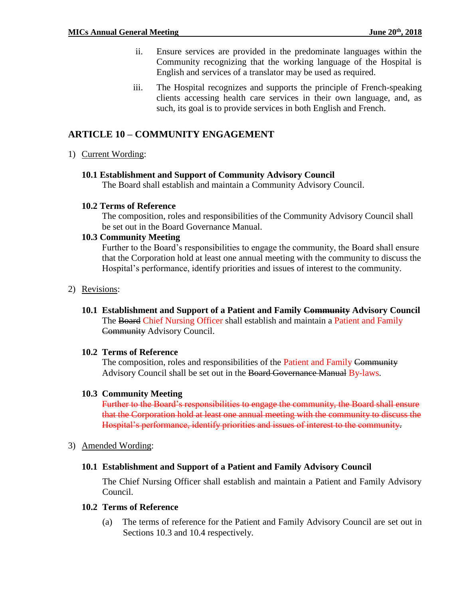- ii. Ensure services are provided in the predominate languages within the Community recognizing that the working language of the Hospital is English and services of a translator may be used as required.
- iii. The Hospital recognizes and supports the principle of French-speaking clients accessing health care services in their own language, and, as such, its goal is to provide services in both English and French.

# **ARTICLE 10 – COMMUNITY ENGAGEMENT**

- 1) Current Wording:
	- **10.1 Establishment and Support of Community Advisory Council**  The Board shall establish and maintain a Community Advisory Council.

#### **10.2 Terms of Reference**

The composition, roles and responsibilities of the Community Advisory Council shall be set out in the Board Governance Manual.

#### **10.3 Community Meeting**

Further to the Board's responsibilities to engage the community, the Board shall ensure that the Corporation hold at least one annual meeting with the community to discuss the Hospital's performance, identify priorities and issues of interest to the community.

#### 2) Revisions:

**10.1 Establishment and Support of a Patient and Family Community Advisory Council** The Board Chief Nursing Officer shall establish and maintain a Patient and Family Community Advisory Council.

#### **10.2 Terms of Reference**

The composition, roles and responsibilities of the Patient and Family Community Advisory Council shall be set out in the Board Governance Manual By-laws.

#### **10.3 Community Meeting**

Further to the Board's responsibilities to engage the community, the Board shall ensure that the Corporation hold at least one annual meeting with the community to discuss the Hospital's performance, identify priorities and issues of interest to the community.

#### 3) Amended Wording:

#### **10.1 Establishment and Support of a Patient and Family Advisory Council**

The Chief Nursing Officer shall establish and maintain a Patient and Family Advisory Council.

#### **10.2 Terms of Reference**

(a) The terms of reference for the Patient and Family Advisory Council are set out in Sections 10.3 and 10.4 respectively.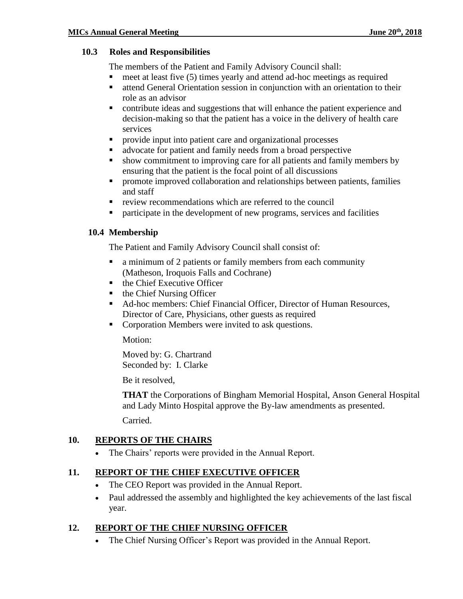#### **10.3 Roles and Responsibilities**

The members of the Patient and Family Advisory Council shall:

- $\blacksquare$  meet at least five (5) times yearly and attend ad-hoc meetings as required
- attend General Orientation session in conjunction with an orientation to their role as an advisor
- contribute ideas and suggestions that will enhance the patient experience and decision-making so that the patient has a voice in the delivery of health care services
- **•** provide input into patient care and organizational processes
- advocate for patient and family needs from a broad perspective
- show commitment to improving care for all patients and family members by ensuring that the patient is the focal point of all discussions
- **•** promote improved collaboration and relationships between patients, families and staff
- review recommendations which are referred to the council
- participate in the development of new programs, services and facilities

# **10.4 Membership**

The Patient and Family Advisory Council shall consist of:

- a minimum of 2 patients or family members from each community (Matheson, Iroquois Falls and Cochrane)
- the Chief Executive Officer
- $\blacksquare$  the Chief Nursing Officer
- Ad-hoc members: Chief Financial Officer, Director of Human Resources, Director of Care, Physicians, other guests as required
- Corporation Members were invited to ask questions.

Motion:

Moved by: G. Chartrand Seconded by: I. Clarke

Be it resolved,

**THAT** the Corporations of Bingham Memorial Hospital, Anson General Hospital and Lady Minto Hospital approve the By-law amendments as presented.

Carried.

# **10. REPORTS OF THE CHAIRS**

The Chairs' reports were provided in the Annual Report.

# **11. REPORT OF THE CHIEF EXECUTIVE OFFICER**

- The CEO Report was provided in the Annual Report.
- Paul addressed the assembly and highlighted the key achievements of the last fiscal year.

# **12. REPORT OF THE CHIEF NURSING OFFICER**

The Chief Nursing Officer's Report was provided in the Annual Report.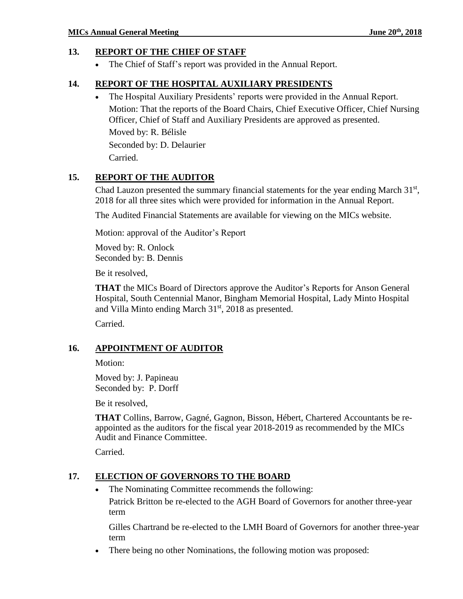# **13. REPORT OF THE CHIEF OF STAFF**

The Chief of Staff's report was provided in the Annual Report.

# **14. REPORT OF THE HOSPITAL AUXILIARY PRESIDENTS**

The Hospital Auxiliary Presidents' reports were provided in the Annual Report.

Motion: That the reports of the Board Chairs, Chief Executive Officer, Chief Nursing Officer, Chief of Staff and Auxiliary Presidents are approved as presented. Moved by: R. Bélisle

Seconded by: D. Delaurier Carried.

# **15. REPORT OF THE AUDITOR**

Chad Lauzon presented the summary financial statements for the year ending March  $31<sup>st</sup>$ , 2018 for all three sites which were provided for information in the Annual Report.

The Audited Financial Statements are available for viewing on the MICs website.

Motion: approval of the Auditor's Report

Moved by: R. Onlock Seconded by: B. Dennis

Be it resolved,

**THAT** the MICs Board of Directors approve the Auditor's Reports for Anson General Hospital, South Centennial Manor, Bingham Memorial Hospital, Lady Minto Hospital and Villa Minto ending March 31<sup>st</sup>, 2018 as presented.

Carried.

# **16. APPOINTMENT OF AUDITOR**

Motion:

Moved by: J. Papineau Seconded by: P. Dorff

Be it resolved,

**THAT** Collins, Barrow, Gagné, Gagnon, Bisson, Hébert, Chartered Accountants be reappointed as the auditors for the fiscal year 2018-2019 as recommended by the MICs Audit and Finance Committee.

Carried.

# **17. ELECTION OF GOVERNORS TO THE BOARD**

 The Nominating Committee recommends the following: Patrick Britton be re-elected to the AGH Board of Governors for another three-year term

Gilles Chartrand be re-elected to the LMH Board of Governors for another three-year term

• There being no other Nominations, the following motion was proposed: